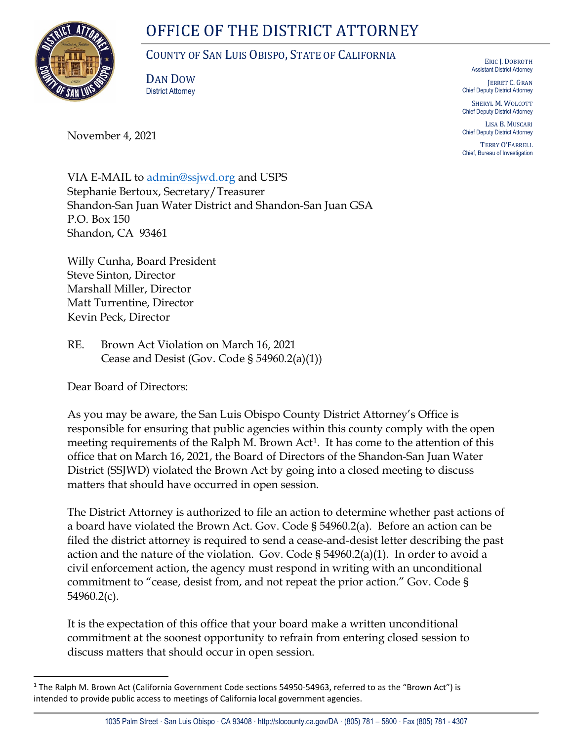# OFFICE OF THE DISTRICT ATTORNEY



# COUNTY OF SAN LUIS OBISPO, STATE OF CALIFORNIA

DAN DOW District Attorney

November 4, 2021

ERIC J. DOBROTH Assistant District Attorney

JERRET C. GRAN Chief Deputy District Attorney

SHERYL M. WOLCOTT Chief Deputy District Attorney

LISA B. MUSCARI Chief Deputy District Attorney

TERRY O'FARRELL Chief, Bureau of Investigation

VIA E-MAIL to [admin@ssjwd.org](mailto:admin@ssjwd.org) and USPS Stephanie Bertoux, Secretary/Treasurer Shandon-San Juan Water District and Shandon-San Juan GSA P.O. Box 150 Shandon, CA 93461

Willy Cunha, Board President Steve Sinton, Director Marshall Miller, Director Matt Turrentine, Director Kevin Peck, Director

RE. Brown Act Violation on March 16, 2021 Cease and Desist (Gov. Code  $\S 54960.2(a)(1)$ )

Dear Board of Directors:

As you may be aware, the San Luis Obispo County District Attorney's Office is responsible for ensuring that public agencies within this county comply with the open meeting requirements of the Ralph M. Brown Act<sup>1</sup>. It has come to the attention of this office that on March 16, 2021, the Board of Directors of the Shandon-San Juan Water District (SSJWD) violated the Brown Act by going into a closed meeting to discuss matters that should have occurred in open session.

The District Attorney is authorized to file an action to determine whether past actions of a board have violated the Brown Act. Gov. Code § 54960.2(a). Before an action can be filed the district attorney is required to send a cease-and-desist letter describing the past action and the nature of the violation. Gov. Code  $\S 54960.2(a)(1)$ . In order to avoid a civil enforcement action, the agency must respond in writing with an unconditional commitment to "cease, desist from, and not repeat the prior action." Gov. Code § 54960.2(c).

It is the expectation of this office that your board make a written unconditional commitment at the soonest opportunity to refrain from entering closed session to discuss matters that should occur in open session.

<span id="page-0-0"></span><sup>&</sup>lt;sup>1</sup> The Ralph M. Brown Act (California Government Code sections 54950-54963, referred to as the "Brown Act") is intended to provide public access to meetings of California local government agencies.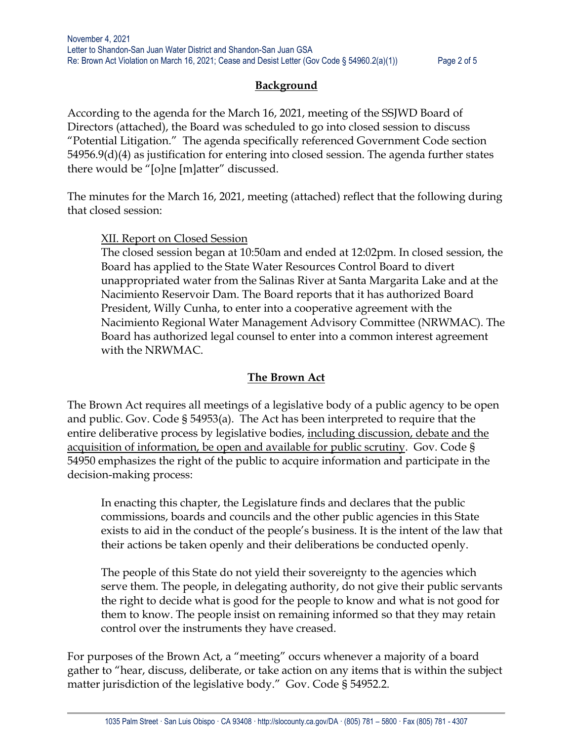# **Background**

According to the agenda for the March 16, 2021, meeting of the SSJWD Board of Directors (attached), the Board was scheduled to go into closed session to discuss "Potential Litigation." The agenda specifically referenced Government Code section 54956.9(d)(4) as justification for entering into closed session. The agenda further states there would be "[o]ne [m]atter" discussed.

The minutes for the March 16, 2021, meeting (attached) reflect that the following during that closed session:

# XII. Report on Closed Session

The closed session began at 10:50am and ended at 12:02pm. In closed session, the Board has applied to the State Water Resources Control Board to divert unappropriated water from the Salinas River at Santa Margarita Lake and at the Nacimiento Reservoir Dam. The Board reports that it has authorized Board President, Willy Cunha, to enter into a cooperative agreement with the Nacimiento Regional Water Management Advisory Committee (NRWMAC). The Board has authorized legal counsel to enter into a common interest agreement with the NRWMAC.

# **The Brown Act**

The Brown Act requires all meetings of a legislative body of a public agency to be open and public. Gov. Code § 54953(a). The Act has been interpreted to require that the entire deliberative process by legislative bodies, including discussion, debate and the acquisition of information, be open and available for public scrutiny. Gov. Code § 54950 emphasizes the right of the public to acquire information and participate in the decision-making process:

In enacting this chapter, the Legislature finds and declares that the public commissions, boards and councils and the other public agencies in this State exists to aid in the conduct of the people's business. It is the intent of the law that their actions be taken openly and their deliberations be conducted openly.

The people of this State do not yield their sovereignty to the agencies which serve them. The people, in delegating authority, do not give their public servants the right to decide what is good for the people to know and what is not good for them to know. The people insist on remaining informed so that they may retain control over the instruments they have creased.

For purposes of the Brown Act, a "meeting" occurs whenever a majority of a board gather to "hear, discuss, deliberate, or take action on any items that is within the subject matter jurisdiction of the legislative body." Gov. Code § 54952.2.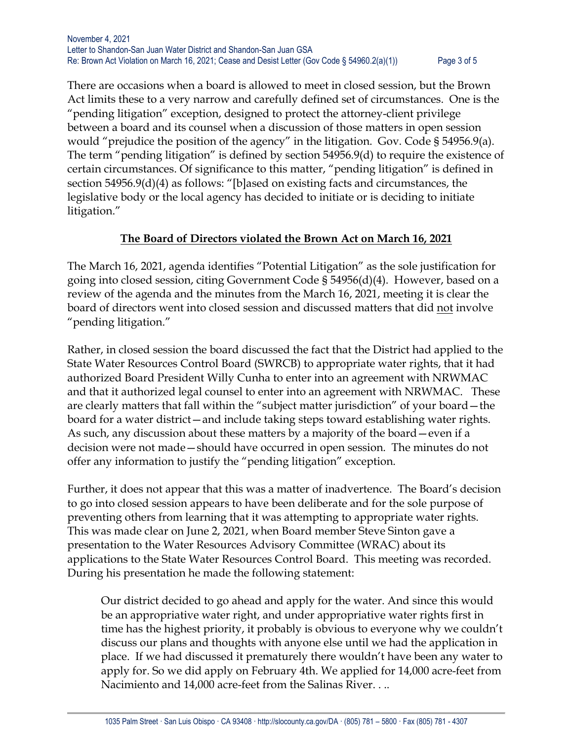There are occasions when a board is allowed to meet in closed session, but the Brown Act limits these to a very narrow and carefully defined set of circumstances. One is the "pending litigation" exception, designed to protect the attorney-client privilege between a board and its counsel when a discussion of those matters in open session would "prejudice the position of the agency" in the litigation. Gov. Code § 54956.9(a). The term "pending litigation" is defined by section 54956.9(d) to require the existence of certain circumstances. Of significance to this matter, "pending litigation" is defined in section 54956.9(d)(4) as follows: "[b]ased on existing facts and circumstances, the legislative body or the local agency has decided to initiate or is deciding to initiate litigation."

# **The Board of Directors violated the Brown Act on March 16, 2021**

The March 16, 2021, agenda identifies "Potential Litigation" as the sole justification for going into closed session, citing Government Code § 54956(d)(4). However, based on a review of the agenda and the minutes from the March 16, 2021, meeting it is clear the board of directors went into closed session and discussed matters that did not involve "pending litigation."

Rather, in closed session the board discussed the fact that the District had applied to the State Water Resources Control Board (SWRCB) to appropriate water rights, that it had authorized Board President Willy Cunha to enter into an agreement with NRWMAC and that it authorized legal counsel to enter into an agreement with NRWMAC. These are clearly matters that fall within the "subject matter jurisdiction" of your board—the board for a water district—and include taking steps toward establishing water rights. As such, any discussion about these matters by a majority of the board—even if a decision were not made—should have occurred in open session. The minutes do not offer any information to justify the "pending litigation" exception.

Further, it does not appear that this was a matter of inadvertence. The Board's decision to go into closed session appears to have been deliberate and for the sole purpose of preventing others from learning that it was attempting to appropriate water rights. This was made clear on June 2, 2021, when Board member Steve Sinton gave a presentation to the Water Resources Advisory Committee (WRAC) about its applications to the State Water Resources Control Board. This meeting was recorded. During his presentation he made the following statement:

Our district decided to go ahead and apply for the water. And since this would be an appropriative water right, and under appropriative water rights first in time has the highest priority, it probably is obvious to everyone why we couldn't discuss our plans and thoughts with anyone else until we had the application in place. If we had discussed it prematurely there wouldn't have been any water to apply for. So we did apply on February 4th. We applied for 14,000 acre-feet from Nacimiento and 14,000 acre-feet from the Salinas River. . ..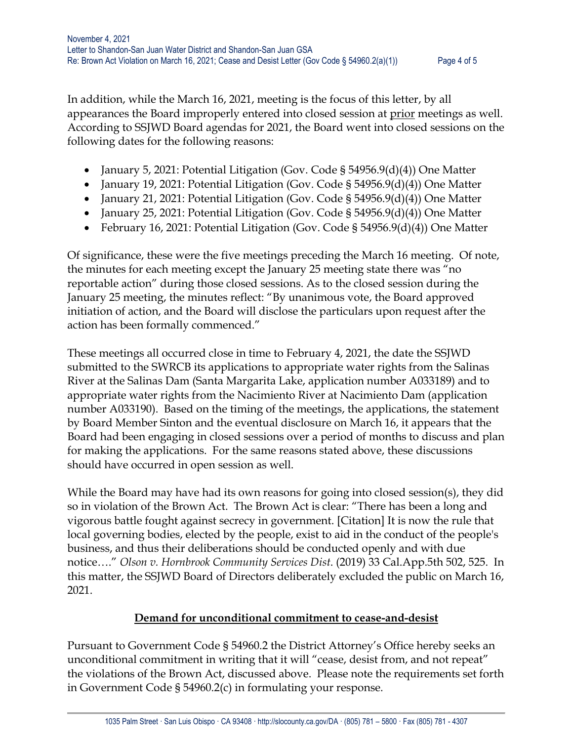In addition, while the March 16, 2021, meeting is the focus of this letter, by all appearances the Board improperly entered into closed session at prior meetings as well. According to SSJWD Board agendas for 2021, the Board went into closed sessions on the following dates for the following reasons:

- January 5, 2021: Potential Litigation (Gov. Code  $\S$  54956.9(d)(4)) One Matter
- January 19, 2021: Potential Litigation (Gov. Code § 54956.9(d)(4)) One Matter
- January 21, 2021: Potential Litigation (Gov. Code § 54956.9(d)(4)) One Matter
- January 25, 2021: Potential Litigation (Gov. Code § 54956.9(d)(4)) One Matter
- February 16, 2021: Potential Litigation (Gov. Code § 54956.9(d)(4)) One Matter

Of significance, these were the five meetings preceding the March 16 meeting. Of note, the minutes for each meeting except the January 25 meeting state there was "no reportable action" during those closed sessions. As to the closed session during the January 25 meeting, the minutes reflect: "By unanimous vote, the Board approved initiation of action, and the Board will disclose the particulars upon request after the action has been formally commenced."

These meetings all occurred close in time to February 4, 2021, the date the SSJWD submitted to the SWRCB its applications to appropriate water rights from the Salinas River at the Salinas Dam (Santa Margarita Lake, application number A033189) and to appropriate water rights from the Nacimiento River at Nacimiento Dam (application number A033190). Based on the timing of the meetings, the applications, the statement by Board Member Sinton and the eventual disclosure on March 16, it appears that the Board had been engaging in closed sessions over a period of months to discuss and plan for making the applications. For the same reasons stated above, these discussions should have occurred in open session as well.

While the Board may have had its own reasons for going into closed session(s), they did so in violation of the Brown Act. The Brown Act is clear: "There has been a long and vigorous battle fought against secrecy in government. [Citation] It is now the rule that local governing bodies, elected by the people, exist to aid in the conduct of the people's business, and thus their deliberations should be conducted openly and with due notice…." *Olson v. Hornbrook Community Services Dist*. (2019) 33 Cal.App.5th 502, 525. In this matter, the SSJWD Board of Directors deliberately excluded the public on March 16, 2021.

# **Demand for unconditional commitment to cease-and-desist**

Pursuant to Government Code § 54960.2 the District Attorney's Office hereby seeks an unconditional commitment in writing that it will "cease, desist from, and not repeat" the violations of the Brown Act, discussed above. Please note the requirements set forth in Government Code § 54960.2(c) in formulating your response.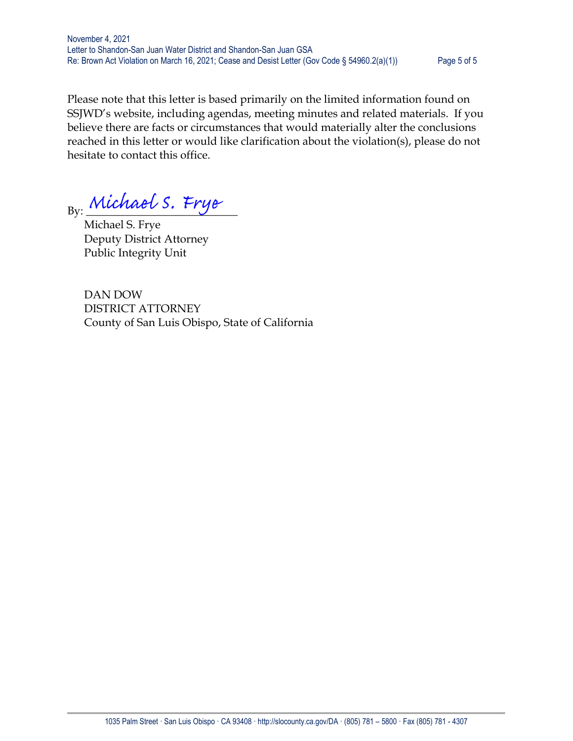November 4, 2021 Letter to Shandon-San Juan Water District and Shandon-San Juan GSA Re: Brown Act Violation on March 16, 2021; Cease and Desist Letter (Gov Code § 54960.2(a)(1)) Page 5 of 5

Please note that this letter is based primarily on the limited information found on SSJWD's website, including agendas, meeting minutes and related materials. If you believe there are facts or circumstances that would materially alter the conclusions reached in this letter or would like clarification about the violation(s), please do not hesitate to contact this office.

By: Michael S. Frye

 Michael S. Frye Deputy District Attorney Public Integrity Unit

 DAN DOW DISTRICT ATTORNEY County of San Luis Obispo, State of California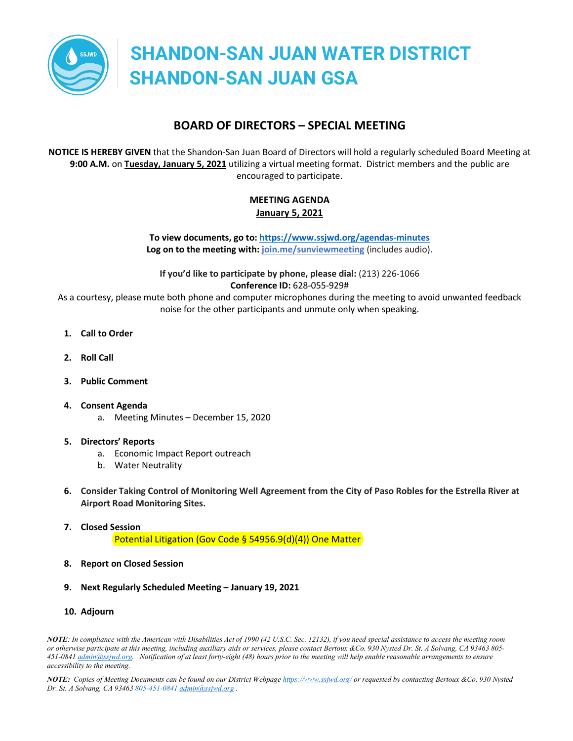

# **BOARD OF DIRECTORS – SPECIAL MEETING**

**NOTICE IS HEREBY GIVEN** that the Shandon-San Juan Board of Directors will hold a regularly scheduled Board Meeting at **9:00 A.M.** on **Tuesday, January 5, 2021** utilizing a virtual meeting format. District members and the public are encouraged to participate.

# **MEETING AGENDA January 5, 2021**

**To view documents, go to[: https://www.ssjwd.org/agendas-minutes](https://www.ssjwd.org/agendas-minutes) Log on to the meeting with: [join.me/sunviewmeeting](https://join.me/sunviewmeeting)** (includes audio).

**If you'd like to participate by phone, please dial:** (213) 226-1066 **Conference ID:** 628-055-929#

As a courtesy, please mute both phone and computer microphones during the meeting to avoid unwanted feedback noise for the other participants and unmute only when speaking.

- **1. Call to Order**
- **2. Roll Call**
- **3. Public Comment**
- **4. Consent Agenda**
	- a. Meeting Minutes December 15, 2020
- **5. Directors' Reports**
	- a. Economic Impact Report outreach
	- b. Water Neutrality
- **6. Consider Taking Control of Monitoring Well Agreement from the City of Paso Robles for the Estrella River at Airport Road Monitoring Sites.**
- **7. Closed Session** Potential Litigation (Gov Code § 54956.9(d)(4)) One Matter
- **8. Report on Closed Session**
- **9. Next Regularly Scheduled Meeting – January 19, 2021**
- **10. Adjourn**

*NOTE: In compliance with the American with Disabilities Act of 1990 (42 U.S.C. Sec. 12132), if you need special assistance to access the meeting room or otherwise participate at this meeting, including auxiliary aids or services, please contact Bertoux &Co. 930 Nysted Dr. St. A Solvang, CA 93463 805- 451-0841 admin@ssjwd.org. Notification of at least forty-eight (48) hours prior to the meeting will help enable reasonable arrangements to ensure accessibility to the meeting.*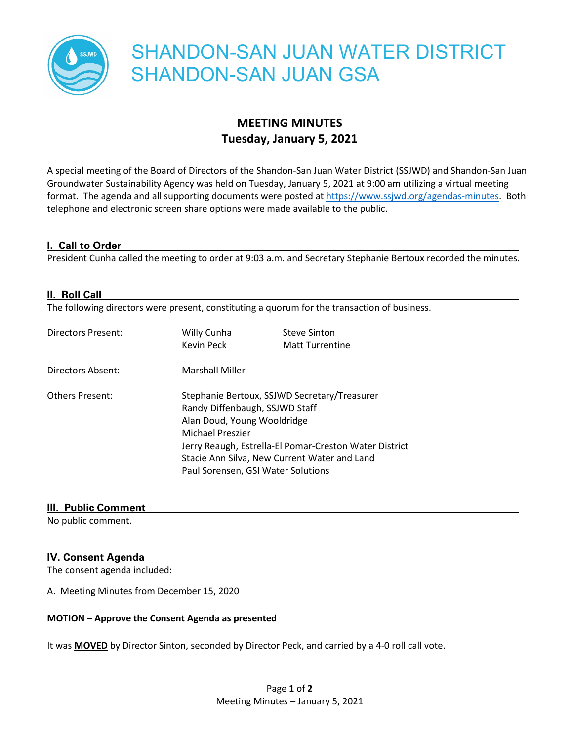

# **MEETING MINUTES Tuesday, January 5, 2021**

A special meeting of the Board of Directors of the Shandon-San Juan Water District (SSJWD) and Shandon-San Juan Groundwater Sustainability Agency was held on Tuesday, January 5, 2021 at 9:00 am utilizing a virtual meeting format. The agenda and all supporting documents were posted at https://www.ssjwd.org/agendas-minutes. Both telephone and electronic screen share options were made available to the public.

#### **I. Call to Order**

President Cunha called the meeting to order at 9:03 a.m. and Secretary Stephanie Bertoux recorded the minutes.

#### **II. Roll Call**

The following directors were present, constituting a quorum for the transaction of business.

| Directors Present:     | Willy Cunha                                            | <b>Steve Sinton</b>    |  |
|------------------------|--------------------------------------------------------|------------------------|--|
|                        | Kevin Peck                                             | <b>Matt Turrentine</b> |  |
| Directors Absent:      | <b>Marshall Miller</b>                                 |                        |  |
| <b>Others Present:</b> | Stephanie Bertoux, SSJWD Secretary/Treasurer           |                        |  |
|                        | Randy Diffenbaugh, SSJWD Staff                         |                        |  |
|                        | Alan Doud, Young Wooldridge                            |                        |  |
|                        | Michael Preszier                                       |                        |  |
|                        | Jerry Reaugh, Estrella-El Pomar-Creston Water District |                        |  |
|                        | Stacie Ann Silva, New Current Water and Land           |                        |  |
|                        | Paul Sorensen, GSI Water Solutions                     |                        |  |

#### **III. Public Comment**

No public comment.

## **IV. Consent Agenda**

The consent agenda included:

A. Meeting Minutes from December 15, 2020

#### **MOTION – Approve the Consent Agenda as presented**

It was **MOVED** by Director Sinton, seconded by Director Peck, and carried by a 4-0 roll call vote.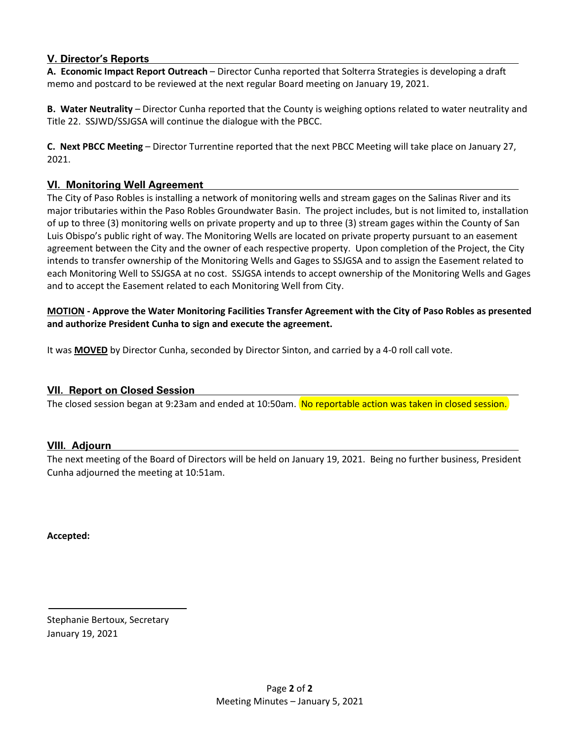# **V. Director's Reports**

**A. Economic Impact Report Outreach** – Director Cunha reported that Solterra Strategies is developing a draft memo and postcard to be reviewed at the next regular Board meeting on January 19, 2021.

**B. Water Neutrality** – Director Cunha reported that the County is weighing options related to water neutrality and Title 22. SSJWD/SSJGSA will continue the dialogue with the PBCC.

**C. Next PBCC Meeting** – Director Turrentine reported that the next PBCC Meeting will take place on January 27, 2021.

## **VI. Monitoring Well Agreement**

The City of Paso Robles is installing a network of monitoring wells and stream gages on the Salinas River and its major tributaries within the Paso Robles Groundwater Basin. The project includes, but is not limited to, installation of up to three (3) monitoring wells on private property and up to three (3) stream gages within the County of San Luis Obispo's public right of way. The Monitoring Wells are located on private property pursuant to an easement agreement between the City and the owner of each respective property. Upon completion of the Project, the City intends to transfer ownership of the Monitoring Wells and Gages to SSJGSA and to assign the Easement related to each Monitoring Well to SSJGSA at no cost. SSJGSA intends to accept ownership of the Monitoring Wells and Gages and to accept the Easement related to each Monitoring Well from City.

### **MOTION - Approve the Water Monitoring Facilities Transfer Agreement with the City of Paso Robles as presented and authorize President Cunha to sign and execute the agreement.**

It was **MOVED** by Director Cunha, seconded by Director Sinton, and carried by a 4-0 roll call vote.

#### **VII. Report on Closed Session**

The closed session began at 9:23am and ended at 10:50am. No reportable action was taken in closed session.

#### **VIII. Adjourn**

The next meeting of the Board of Directors will be held on January 19, 2021. Being no further business, President Cunha adjourned the meeting at 10:51am.

**Accepted:**

Stephanie Bertoux, Secretary January 19, 2021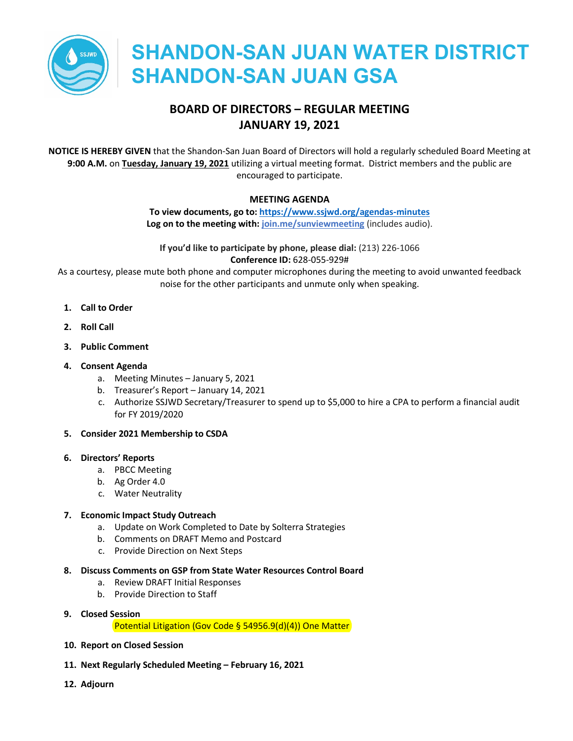

# **BOARD OF DIRECTORS – REGULAR MEETING JANUARY 19, 2021**

**NOTICE IS HEREBY GIVEN** that the Shandon-San Juan Board of Directors will hold a regularly scheduled Board Meeting at **9:00 A.M.** on **Tuesday, January 19, 2021** utilizing a virtual meeting format. District members and the public are encouraged to participate.

#### **MEETING AGENDA**

**To view documents, go to[: https://www.ssjwd.org/agendas-minutes](https://www.ssjwd.org/agendas-minutes) Log on to the meeting with: [join.me/sunviewmeeting](https://join.me/sunviewmeeting)** (includes audio).

**If you'd like to participate by phone, please dial:** (213) 226-1066 **Conference ID:** 628-055-929#

As a courtesy, please mute both phone and computer microphones during the meeting to avoid unwanted feedback noise for the other participants and unmute only when speaking.

- **1. Call to Order**
- **2. Roll Call**
- **3. Public Comment**
- **4. Consent Agenda**
	- a. Meeting Minutes January 5, 2021
	- b. Treasurer's Report January 14, 2021
	- c. Authorize SSJWD Secretary/Treasurer to spend up to \$5,000 to hire a CPA to perform a financial audit for FY 2019/2020

#### **5. Consider 2021 Membership to CSDA**

#### **6. Directors' Reports**

- a. PBCC Meeting
- b. Ag Order 4.0
- c. Water Neutrality

#### **7. Economic Impact Study Outreach**

- a. Update on Work Completed to Date by Solterra Strategies
- b. Comments on DRAFT Memo and Postcard
- c. Provide Direction on Next Steps

#### **8. Discuss Comments on GSP from State Water Resources Control Board**

- a. Review DRAFT Initial Responses
- b. Provide Direction to Staff
- **9. Closed Session**

Potential Litigation (Gov Code § 54956.9(d)(4)) One Matter

- **10. Report on Closed Session**
- **11. Next Regularly Scheduled Meeting February 16, 2021**
- **12. Adjourn**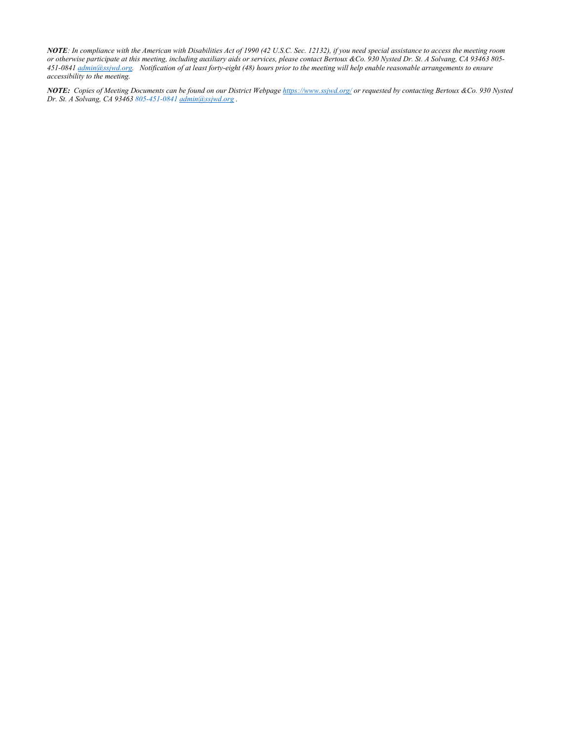*NOTE: In compliance with the American with Disabilities Act of 1990 (42 U.S.C. Sec. 12132), if you need special assistance to access the meeting room or otherwise participate at this meeting, including auxiliary aids or services, please contact Bertoux &Co. 930 Nysted Dr. St. A Solvang, CA 93463 805- 451-0841 admin@ssjwd.org. Notification of at least forty-eight (48) hours prior to the meeting will help enable reasonable arrangements to ensure accessibility to the meeting.*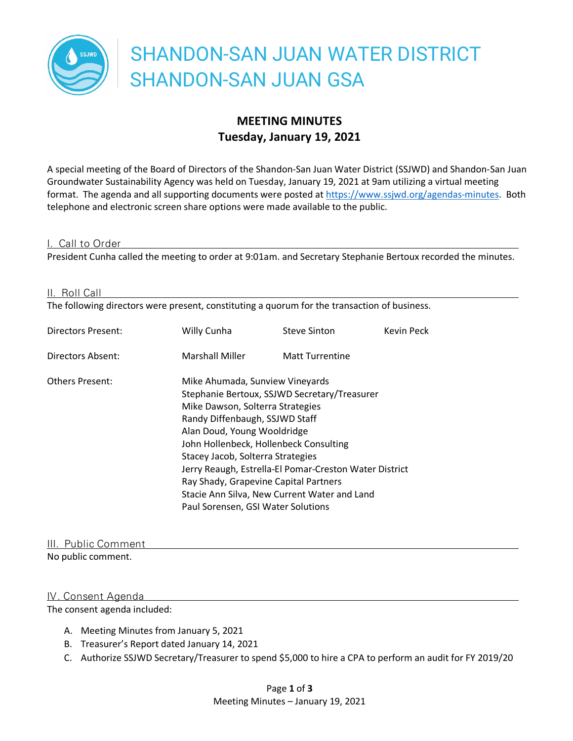

# **MEETING MINUTES Tuesday, January 19, 2021**

A special meeting of the Board of Directors of the Shandon-San Juan Water District (SSJWD) and Shandon-San Juan Groundwater Sustainability Agency was held on Tuesday, January 19, 2021 at 9am utilizing a virtual meeting format. The agenda and all supporting documents were posted at https://www.ssjwd.org/agendas-minutes. Both telephone and electronic screen share options were made available to the public.

#### I. Call to Order

President Cunha called the meeting to order at 9:01am. and Secretary Stephanie Bertoux recorded the minutes.

#### II. Roll Call

The following directors were present, constituting a quorum for the transaction of business.

| Willy Cunha            | <b>Steve Sinton</b>    | Kevin Peck                                                                                                                                                                                                                                                                                                                                                                                                                                                   |
|------------------------|------------------------|--------------------------------------------------------------------------------------------------------------------------------------------------------------------------------------------------------------------------------------------------------------------------------------------------------------------------------------------------------------------------------------------------------------------------------------------------------------|
| <b>Marshall Miller</b> | <b>Matt Turrentine</b> |                                                                                                                                                                                                                                                                                                                                                                                                                                                              |
|                        |                        |                                                                                                                                                                                                                                                                                                                                                                                                                                                              |
|                        |                        | Mike Ahumada, Sunview Vineyards<br>Stephanie Bertoux, SSJWD Secretary/Treasurer<br>Mike Dawson, Solterra Strategies<br>Randy Diffenbaugh, SSJWD Staff<br>Alan Doud, Young Wooldridge<br>John Hollenbeck, Hollenbeck Consulting<br>Stacey Jacob, Solterra Strategies<br>Jerry Reaugh, Estrella-El Pomar-Creston Water District<br>Ray Shady, Grapevine Capital Partners<br>Stacie Ann Silva, New Current Water and Land<br>Paul Sorensen, GSI Water Solutions |

## III. Public Comment

No public comment.

#### IV. Consent Agenda

The consent agenda included:

- A. Meeting Minutes from January 5, 2021
- B. Treasurer's Report dated January 14, 2021
- C. Authorize SSJWD Secretary/Treasurer to spend \$5,000 to hire a CPA to perform an audit for FY 2019/20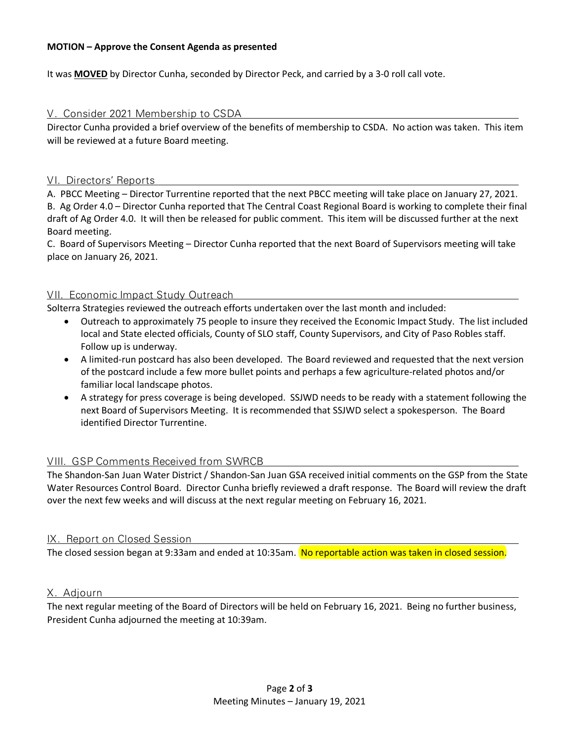#### **MOTION – Approve the Consent Agenda as presented**

It was **MOVED** by Director Cunha, seconded by Director Peck, and carried by a 3-0 roll call vote.

V. Consider 2021 Membership to CSDA

Director Cunha provided a brief overview of the benefits of membership to CSDA. No action was taken. This item will be reviewed at a future Board meeting.

#### VI. Directors' Reports

A. PBCC Meeting – Director Turrentine reported that the next PBCC meeting will take place on January 27, 2021. B. Ag Order 4.0 – Director Cunha reported that The Central Coast Regional Board is working to complete their final

draft of Ag Order 4.0. It will then be released for public comment. This item will be discussed further at the next Board meeting.

C. Board of Supervisors Meeting – Director Cunha reported that the next Board of Supervisors meeting will take place on January 26, 2021.

#### VII. Economic Impact Study Outreach

Solterra Strategies reviewed the outreach efforts undertaken over the last month and included:

- Outreach to approximately 75 people to insure they received the Economic Impact Study. The list included local and State elected officials, County of SLO staff, County Supervisors, and City of Paso Robles staff. Follow up is underway.
- A limited-run postcard has also been developed. The Board reviewed and requested that the next version of the postcard include a few more bullet points and perhaps a few agriculture-related photos and/or familiar local landscape photos.
- A strategy for press coverage is being developed. SSJWD needs to be ready with a statement following the next Board of Supervisors Meeting. It is recommended that SSJWD select a spokesperson. The Board identified Director Turrentine.

## VIII. GSP Comments Received from SWRCB

The Shandon-San Juan Water District / Shandon-San Juan GSA received initial comments on the GSP from the State Water Resources Control Board. Director Cunha briefly reviewed a draft response. The Board will review the draft over the next few weeks and will discuss at the next regular meeting on February 16, 2021.

#### IX. Report on Closed Session

The closed session began at 9:33am and ended at 10:35am. No reportable action was taken in closed session.

#### X. Adjourn

The next regular meeting of the Board of Directors will be held on February 16, 2021. Being no further business, President Cunha adjourned the meeting at 10:39am.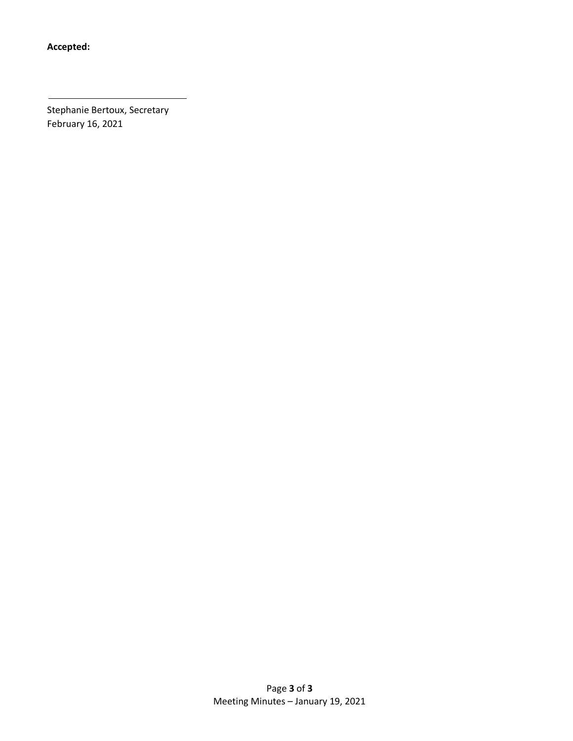**Accepted:**

Stephanie Bertoux, Secretary February 16, 2021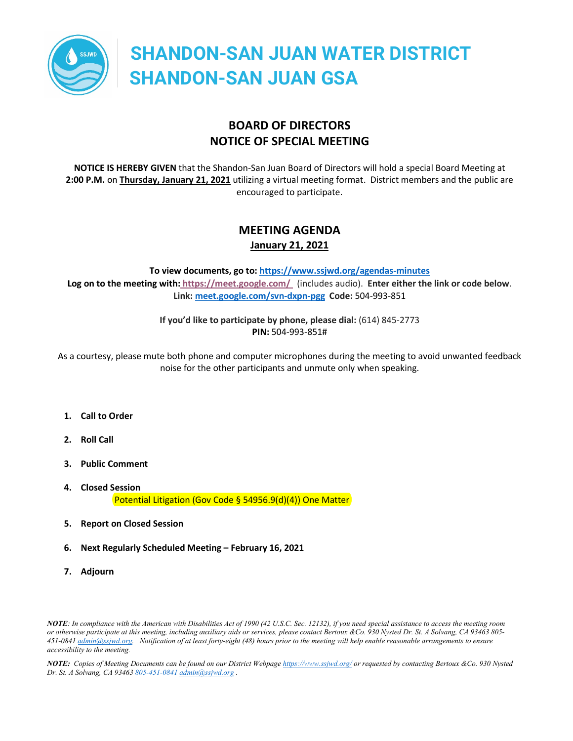

# **BOARD OF DIRECTORS NOTICE OF SPECIAL MEETING**

**NOTICE IS HEREBY GIVEN** that the Shandon-San Juan Board of Directors will hold a special Board Meeting at **2:00 P.M.** on **Thursday, January 21, 2021** utilizing a virtual meeting format. District members and the public are encouraged to participate.

# **MEETING AGENDA January 21, 2021**

**To view documents, go to[: https://www.ssjwd.org/agendas-minutes](https://www.ssjwd.org/agendas-minutes) Log on to the meeting with: <https://meet.google.com/>** (includes audio). **Enter either the link or code below**. **Link: [meet.google.com/svn-dxpn-pgg](https://meet.google.com/svn-dxpn-pgg?hs=122&authuser=3) Code:** 504-993-851

> **If you'd like to participate by phone, please dial:** (614) 845-2773 **PIN:** 504-993-851#

As a courtesy, please mute both phone and computer microphones during the meeting to avoid unwanted feedback noise for the other participants and unmute only when speaking.

- **1. Call to Order**
- **2. Roll Call**
- **3. Public Comment**
- **4. Closed Session** Potential Litigation (Gov Code § 54956.9(d)(4)) One Matter
- **5. Report on Closed Session**
- **6. Next Regularly Scheduled Meeting – February 16, 2021**
- **7. Adjourn**

*NOTE: In compliance with the American with Disabilities Act of 1990 (42 U.S.C. Sec. 12132), if you need special assistance to access the meeting room or otherwise participate at this meeting, including auxiliary aids or services, please contact Bertoux &Co. 930 Nysted Dr. St. A Solvang, CA 93463 805- 451-0841 admin@ssjwd.org. Notification of at least forty-eight (48) hours prior to the meeting will help enable reasonable arrangements to ensure accessibility to the meeting.*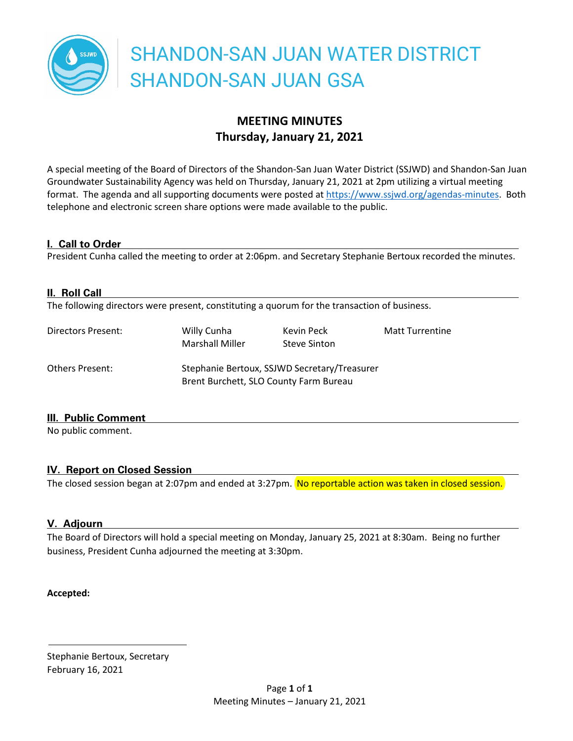

# **MEETING MINUTES Thursday, January 21, 2021**

A special meeting of the Board of Directors of the Shandon-San Juan Water District (SSJWD) and Shandon-San Juan Groundwater Sustainability Agency was held on Thursday, January 21, 2021 at 2pm utilizing a virtual meeting format. The agenda and all supporting documents were posted a[t https://www.ssjwd.org/agendas-minutes.](https://www.ssjwd.org/agendas-minutes) Both telephone and electronic screen share options were made available to the public.

## **I. Call to Order**

President Cunha called the meeting to order at 2:06pm. and Secretary Stephanie Bertoux recorded the minutes.

| II. Roll Call          | The following directors were present, constituting a quorum for the transaction of business. |                                   |                        |
|------------------------|----------------------------------------------------------------------------------------------|-----------------------------------|------------------------|
| Directors Present:     | Willy Cunha<br><b>Marshall Miller</b>                                                        | Kevin Peck<br><b>Steve Sinton</b> | <b>Matt Turrentine</b> |
| <b>Others Present:</b> | Stephanie Bertoux, SSJWD Secretary/Treasurer<br>Brent Burchett, SLO County Farm Bureau       |                                   |                        |

## **III. Public Comment**

No public comment.

# **IV. Report on Closed Session**

The closed session began at 2:07pm and ended at 3:27pm. No reportable action was taken in closed session.

# **V. Adjourn**

The Board of Directors will hold a special meeting on Monday, January 25, 2021 at 8:30am. Being no further business, President Cunha adjourned the meeting at 3:30pm.

## **Accepted:**

Stephanie Bertoux, Secretary February 16, 2021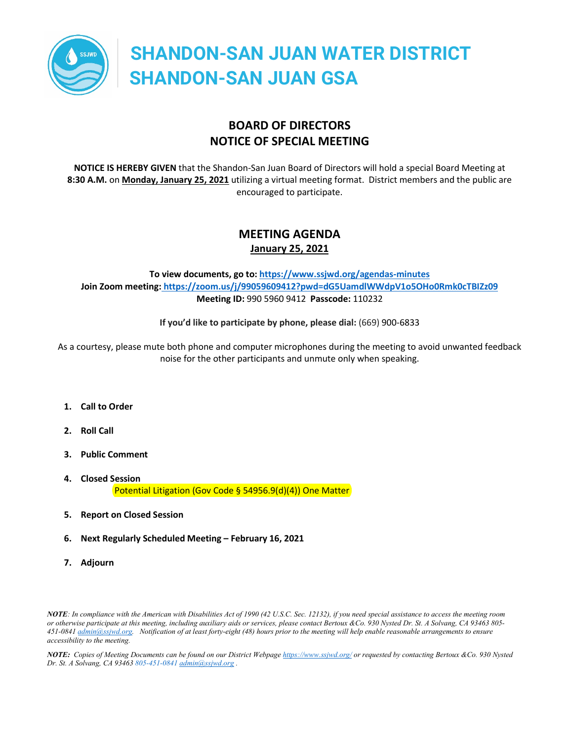

# **BOARD OF DIRECTORS NOTICE OF SPECIAL MEETING**

**NOTICE IS HEREBY GIVEN** that the Shandon-San Juan Board of Directors will hold a special Board Meeting at **8:30 A.M.** on **Monday, January 25, 2021** utilizing a virtual meeting format. District members and the public are encouraged to participate.

# **MEETING AGENDA January 25, 2021**

## **To view documents, go to[: https://www.ssjwd.org/agendas-minutes](https://www.ssjwd.org/agendas-minutes) Join Zoom meeting: [https://zoom.us/j/99059609412?pwd=dG5UamdlWWdpV1o5OHo0Rmk0cTBIZz09](https://meet.google.com/) Meeting ID:** 990 5960 9412 **Passcode:** 110232

**If you'd like to participate by phone, please dial:** (669) 900-6833

As a courtesy, please mute both phone and computer microphones during the meeting to avoid unwanted feedback noise for the other participants and unmute only when speaking.

- **1. Call to Order**
- **2. Roll Call**
- **3. Public Comment**
- **4. Closed Session** Potential Litigation (Gov Code § 54956.9(d)(4)) One Matter
- **5. Report on Closed Session**
- **6. Next Regularly Scheduled Meeting – February 16, 2021**
- **7. Adjourn**

*NOTE: In compliance with the American with Disabilities Act of 1990 (42 U.S.C. Sec. 12132), if you need special assistance to access the meeting room or otherwise participate at this meeting, including auxiliary aids or services, please contact Bertoux &Co. 930 Nysted Dr. St. A Solvang, CA 93463 805- 451-0841 admin@ssjwd.org. Notification of at least forty-eight (48) hours prior to the meeting will help enable reasonable arrangements to ensure accessibility to the meeting.*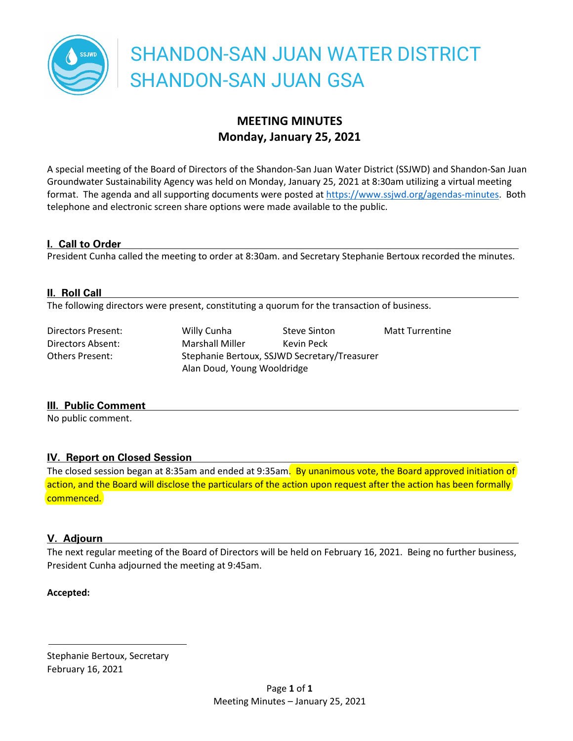

# **MEETING MINUTES Monday, January 25, 2021**

A special meeting of the Board of Directors of the Shandon-San Juan Water District (SSJWD) and Shandon-San Juan Groundwater Sustainability Agency was held on Monday, January 25, 2021 at 8:30am utilizing a virtual meeting format. The agenda and all supporting documents were posted a[t https://www.ssjwd.org/agendas-minutes.](https://www.ssjwd.org/agendas-minutes) Both telephone and electronic screen share options were made available to the public.

## **I. Call to Order**

President Cunha called the meeting to order at 8:30am. and Secretary Stephanie Bertoux recorded the minutes.

# **II. Roll Call**

The following directors were present, constituting a quorum for the transaction of business.

Directors Present: Willy Cunha Steve Sinton Matt Turrentine Directors Absent: Marshall Miller Kevin Peck Others Present: Stephanie Bertoux, SSJWD Secretary/Treasurer Alan Doud, Young Wooldridge

## **III. Public Comment**

No public comment.

# **IV. Report on Closed Session**

The closed session began at 8:35am and ended at 9:35am. By unanimous vote, the Board approved initiation of action, and the Board will disclose the particulars of the action upon request after the action has been formally commenced.

# **V. Adjourn**

The next regular meeting of the Board of Directors will be held on February 16, 2021. Being no further business, President Cunha adjourned the meeting at 9:45am.

## **Accepted:**

Stephanie Bertoux, Secretary February 16, 2021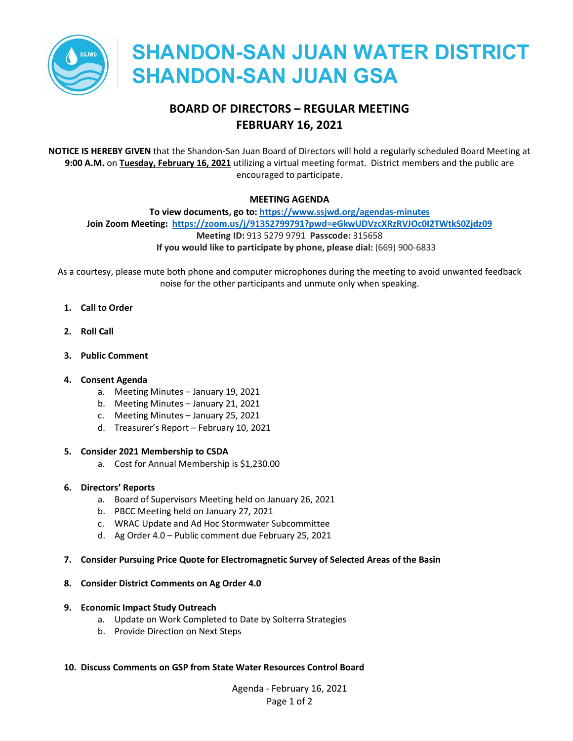

# **BOARD OF DIRECTORS – REGULAR MEETING FEBRUARY 16, 2021**

**NOTICE IS HEREBY GIVEN** that the Shandon-San Juan Board of Directors will hold a regularly scheduled Board Meeting at **9:00 A.M.** on **Tuesday, February 16, 2021** utilizing a virtual meeting format. District members and the public are encouraged to participate.

#### **MEETING AGENDA**

**To view documents, go to[: https://www.ssjwd.org/agendas-minutes](https://www.ssjwd.org/agendas-minutes) Join Zoom Meeting: <https://zoom.us/j/91352799791?pwd=eGkwUDVzcXRzRVJOc0I2TWtkS0Zjdz09> Meeting ID:** 913 5279 9791 **Passcode:** 315658 **If you would like to participate by phone, please dial:** (669) 900-6833

As a courtesy, please mute both phone and computer microphones during the meeting to avoid unwanted feedback noise for the other participants and unmute only when speaking.

- **1. Call to Order**
- **2. Roll Call**
- **3. Public Comment**

#### **4. Consent Agenda**

- a. Meeting Minutes January 19, 2021
- b. Meeting Minutes January 21, 2021
- c. Meeting Minutes January 25, 2021
- d. Treasurer's Report February 10, 2021

#### **5. Consider 2021 Membership to CSDA**

a. Cost for Annual Membership is \$1,230.00

#### **6. Directors' Reports**

- a. Board of Supervisors Meeting held on January 26, 2021
- b. PBCC Meeting held on January 27, 2021
- c. WRAC Update and Ad Hoc Stormwater Subcommittee
- d. Ag Order 4.0 Public comment due February 25, 2021

#### **7. Consider Pursuing Price Quote for Electromagnetic Survey of Selected Areas of the Basin**

#### **8. Consider District Comments on Ag Order 4.0**

#### **9. Economic Impact Study Outreach**

- a. Update on Work Completed to Date by Solterra Strategies
- b. Provide Direction on Next Steps

#### **10. Discuss Comments on GSP from State Water Resources Control Board**

Agenda - February 16, 2021 Page 1 of 2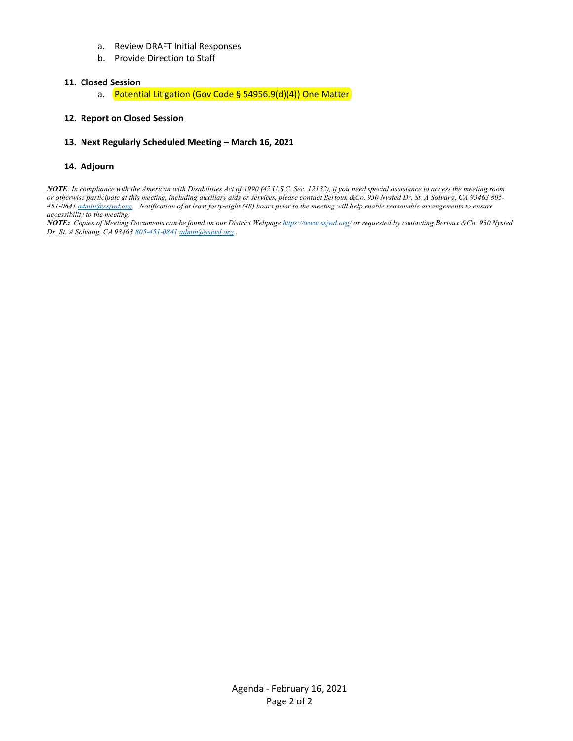- a. Review DRAFT Initial Responses
- b. Provide Direction to Staff

#### **11. Closed Session**

a. Potential Litigation (Gov Code § 54956.9(d)(4)) One Matter

#### **12. Report on Closed Session**

#### **13. Next Regularly Scheduled Meeting – March 16, 2021**

#### **14. Adjourn**

*NOTE: In compliance with the American with Disabilities Act of 1990 (42 U.S.C. Sec. 12132), if you need special assistance to access the meeting room or otherwise participate at this meeting, including auxiliary aids or services, please contact Bertoux &Co. 930 Nysted Dr. St. A Solvang, CA 93463 805- 451-0841 admin@ssjwd.org. Notification of at least forty-eight (48) hours prior to the meeting will help enable reasonable arrangements to ensure accessibility to the meeting.*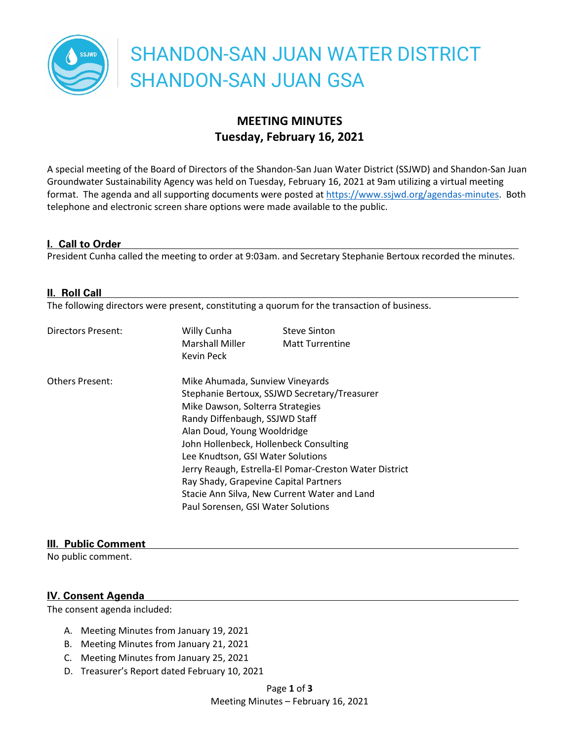

# **MEETING MINUTES Tuesday, February 16, 2021**

A special meeting of the Board of Directors of the Shandon-San Juan Water District (SSJWD) and Shandon-San Juan Groundwater Sustainability Agency was held on Tuesday, February 16, 2021 at 9am utilizing a virtual meeting format. The agenda and all supporting documents were posted at https://www.ssjwd.org/agendas-minutes. Both telephone and electronic screen share options were made available to the public.

#### **I. Call to Order**

President Cunha called the meeting to order at 9:03am. and Secretary Stephanie Bertoux recorded the minutes.

#### **II. Roll Call**

The following directors were present, constituting a quorum for the transaction of business.

| Directors Present:     | Willy Cunha<br><b>Marshall Miller</b><br>Kevin Peck    | <b>Steve Sinton</b><br><b>Matt Turrentine</b> |  |
|------------------------|--------------------------------------------------------|-----------------------------------------------|--|
| <b>Others Present:</b> | Mike Ahumada, Sunview Vineyards                        |                                               |  |
|                        | Stephanie Bertoux, SSJWD Secretary/Treasurer           |                                               |  |
|                        | Mike Dawson, Solterra Strategies                       |                                               |  |
|                        | Randy Diffenbaugh, SSJWD Staff                         |                                               |  |
|                        | Alan Doud, Young Wooldridge                            |                                               |  |
|                        | John Hollenbeck, Hollenbeck Consulting                 |                                               |  |
|                        | Lee Knudtson, GSI Water Solutions                      |                                               |  |
|                        | Jerry Reaugh, Estrella-El Pomar-Creston Water District |                                               |  |
|                        | Ray Shady, Grapevine Capital Partners                  |                                               |  |
|                        | Stacie Ann Silva, New Current Water and Land           |                                               |  |
|                        | Paul Sorensen, GSI Water Solutions                     |                                               |  |

#### **III. Public Comment**

No public comment.

#### **IV. Consent Agenda**

The consent agenda included:

- A. Meeting Minutes from January 19, 2021
- B. Meeting Minutes from January 21, 2021
- C. Meeting Minutes from January 25, 2021
- D. Treasurer's Report dated February 10, 2021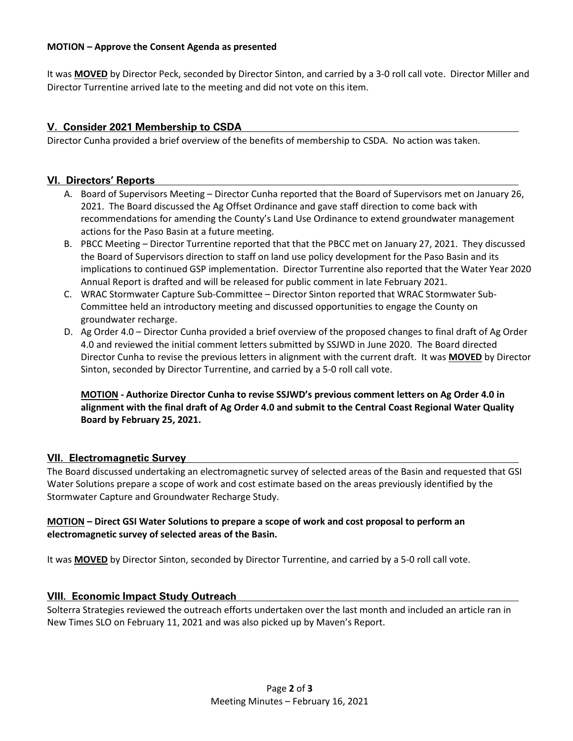#### **MOTION – Approve the Consent Agenda as presented**

It was **MOVED** by Director Peck, seconded by Director Sinton, and carried by a 3-0 roll call vote. Director Miller and Director Turrentine arrived late to the meeting and did not vote on this item.

# **V. Consider 2021 Membership to CSDA**

Director Cunha provided a brief overview of the benefits of membership to CSDA. No action was taken.

#### **VI. Directors' Reports**

- A. Board of Supervisors Meeting Director Cunha reported that the Board of Supervisors met on January 26, 2021. The Board discussed the Ag Offset Ordinance and gave staff direction to come back with recommendations for amending the County's Land Use Ordinance to extend groundwater management actions for the Paso Basin at a future meeting.
- B. PBCC Meeting Director Turrentine reported that that the PBCC met on January 27, 2021. They discussed the Board of Supervisors direction to staff on land use policy development for the Paso Basin and its implications to continued GSP implementation. Director Turrentine also reported that the Water Year 2020 Annual Report is drafted and will be released for public comment in late February 2021.
- C. WRAC Stormwater Capture Sub-Committee Director Sinton reported that WRAC Stormwater Sub-Committee held an introductory meeting and discussed opportunities to engage the County on groundwater recharge.
- D. Ag Order 4.0 Director Cunha provided a brief overview of the proposed changes to final draft of Ag Order 4.0 and reviewed the initial comment letters submitted by SSJWD in June 2020. The Board directed Director Cunha to revise the previous letters in alignment with the current draft. It was **MOVED** by Director Sinton, seconded by Director Turrentine, and carried by a 5-0 roll call vote.

**MOTION - Authorize Director Cunha to revise SSJWD's previous comment letters on Ag Order 4.0 in alignment with the final draft of Ag Order 4.0 and submit to the Central Coast Regional Water Quality Board by February 25, 2021.**

## **VII. Electromagnetic Survey**

The Board discussed undertaking an electromagnetic survey of selected areas of the Basin and requested that GSI Water Solutions prepare a scope of work and cost estimate based on the areas previously identified by the Stormwater Capture and Groundwater Recharge Study.

#### **MOTION – Direct GSI Water Solutions to prepare a scope of work and cost proposal to perform an electromagnetic survey of selected areas of the Basin.**

It was **MOVED** by Director Sinton, seconded by Director Turrentine, and carried by a 5-0 roll call vote.

## **VIII. Economic Impact Study Outreach**

Solterra Strategies reviewed the outreach efforts undertaken over the last month and included an article ran in New Times SLO on February 11, 2021 and was also picked up by Maven's Report.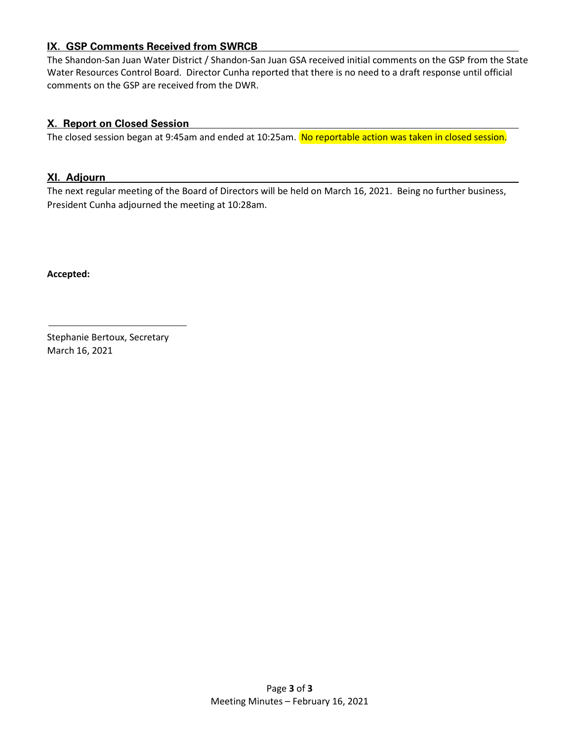# **IX. GSP Comments Received from SWRCB**

The Shandon-San Juan Water District / Shandon-San Juan GSA received initial comments on the GSP from the State Water Resources Control Board. Director Cunha reported that there is no need to a draft response until official comments on the GSP are received from the DWR.

# **X. Report on Closed Session**

The closed session began at 9:45am and ended at 10:25am. No reportable action was taken in closed session.

#### **XI. Adjourn**

The next regular meeting of the Board of Directors will be held on March 16, 2021. Being no further business, President Cunha adjourned the meeting at 10:28am.

**Accepted:**

Stephanie Bertoux, Secretary March 16, 2021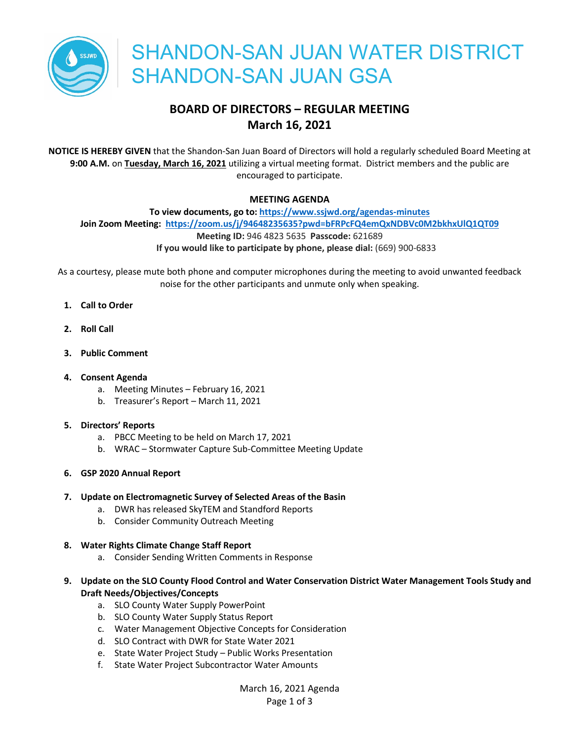

# **BOARD OF DIRECTORS – REGULAR MEETING March 16, 2021**

**NOTICE IS HEREBY GIVEN** that the Shandon-San Juan Board of Directors will hold a regularly scheduled Board Meeting at **9:00 A.M.** on **Tuesday, March 16, 2021** utilizing a virtual meeting format. District members and the public are encouraged to participate.

#### **MEETING AGENDA**

**To view documents, go to: https://www.ssjwd.org/agendas-minutes Join Zoom Meeting: https://zoom.us/j/94648235635?pwd=bFRPcFQ4emQxNDBVc0M2bkhxUlQ1QT09 Meeting ID:** 946 4823 5635 **Passcode:** 621689 **If you would like to participate by phone, please dial:** (669) 900-6833

As a courtesy, please mute both phone and computer microphones during the meeting to avoid unwanted feedback noise for the other participants and unmute only when speaking.

- **1. Call to Order**
- **2. Roll Call**
- **3. Public Comment**

#### **4. Consent Agenda**

- a. Meeting Minutes February 16, 2021
- b. Treasurer's Report March 11, 2021

#### **5. Directors' Reports**

- a. PBCC Meeting to be held on March 17, 2021
- b. WRAC Stormwater Capture Sub-Committee Meeting Update
- **6. GSP 2020 Annual Report**

#### **7. Update on Electromagnetic Survey of Selected Areas of the Basin**

- a. DWR has released SkyTEM and Standford Reports
- b. Consider Community Outreach Meeting

## **8. Water Rights Climate Change Staff Report**

- a. Consider Sending Written Comments in Response
- **9. Update on the SLO County Flood Control and Water Conservation District Water Management Tools Study and Draft Needs/Objectives/Concepts**
	- a. SLO County Water Supply PowerPoint
	- b. SLO County Water Supply Status Report
	- c. Water Management Objective Concepts for Consideration
	- d. SLO Contract with DWR for State Water 2021
	- e. State Water Project Study Public Works Presentation
	- f. State Water Project Subcontractor Water Amounts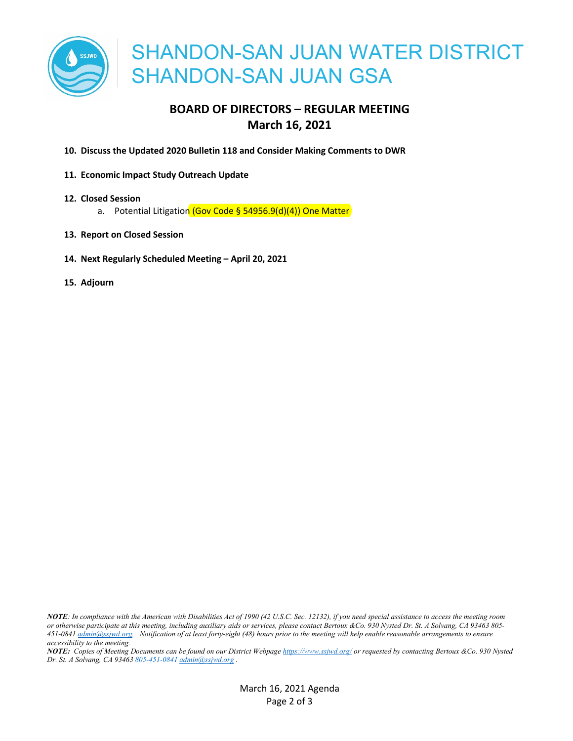

# **BOARD OF DIRECTORS – REGULAR MEETING March 16, 2021**

- **10. Discuss the Updated 2020 Bulletin 118 and Consider Making Comments to DWR**
- **11. Economic Impact Study Outreach Update**
- **12. Closed Session**
	- a. Potential Litigation (Gov Code § 54956.9(d)(4)) One Matter
- **13. Report on Closed Session**
- **14. Next Regularly Scheduled Meeting – April 20, 2021**
- **15. Adjourn**

*NOTE: In compliance with the American with Disabilities Act of 1990 (42 U.S.C. Sec. 12132), if you need special assistance to access the meeting room or otherwise participate at this meeting, including auxiliary aids or services, please contact Bertoux &Co. 930 Nysted Dr. St. A Solvang, CA 93463 805- 451-0841 admin@ssjwd.org. Notification of at least forty-eight (48) hours prior to the meeting will help enable reasonable arrangements to ensure accessibility to the meeting.*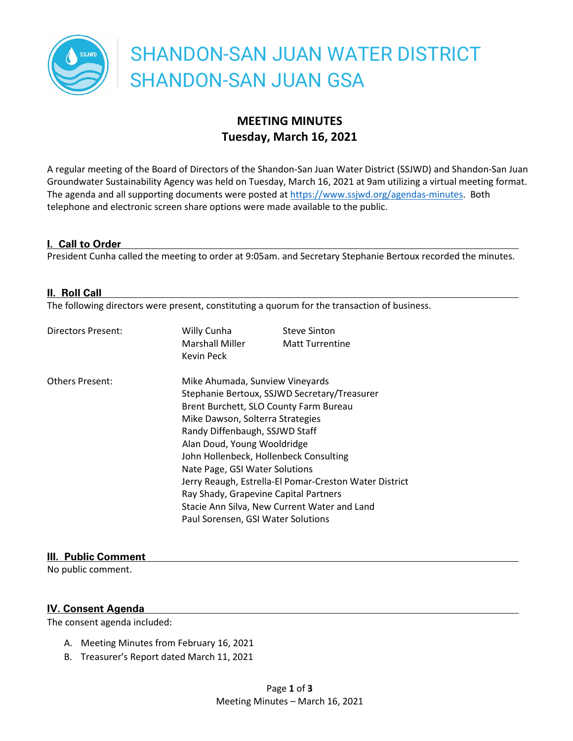

# **MEETING MINUTES Tuesday, March 16, 2021**

A regular meeting of the Board of Directors of the Shandon-San Juan Water District (SSJWD) and Shandon-San Juan Groundwater Sustainability Agency was held on Tuesday, March 16, 2021 at 9am utilizing a virtual meeting format. The agenda and all supporting documents were posted at https://www.ssjwd.org/agendas-minutes. Both telephone and electronic screen share options were made available to the public.

#### **I. Call to Order**

President Cunha called the meeting to order at 9:05am. and Secretary Stephanie Bertoux recorded the minutes.

#### **II. Roll Call**

The following directors were present, constituting a quorum for the transaction of business.

| <b>Directors Present:</b> | Willy Cunha<br><b>Marshall Miller</b><br>Kevin Peck                             | <b>Steve Sinton</b><br><b>Matt Turrentine</b> |  |
|---------------------------|---------------------------------------------------------------------------------|-----------------------------------------------|--|
| <b>Others Present:</b>    | Mike Ahumada, Sunview Vineyards<br>Stephanie Bertoux, SSJWD Secretary/Treasurer |                                               |  |
|                           |                                                                                 |                                               |  |
|                           | Brent Burchett, SLO County Farm Bureau                                          |                                               |  |
|                           | Mike Dawson, Solterra Strategies                                                |                                               |  |
|                           | Randy Diffenbaugh, SSJWD Staff                                                  |                                               |  |
|                           | Alan Doud, Young Wooldridge                                                     |                                               |  |
|                           | John Hollenbeck, Hollenbeck Consulting                                          |                                               |  |
|                           | Nate Page, GSI Water Solutions                                                  |                                               |  |
|                           | Jerry Reaugh, Estrella-El Pomar-Creston Water District                          |                                               |  |
|                           | Ray Shady, Grapevine Capital Partners                                           |                                               |  |
|                           | Stacie Ann Silva, New Current Water and Land                                    |                                               |  |
|                           | Paul Sorensen, GSI Water Solutions                                              |                                               |  |

#### **III. Public Comment**

No public comment.

#### **IV. Consent Agenda**

The consent agenda included:

- A. Meeting Minutes from February 16, 2021
- B. Treasurer's Report dated March 11, 2021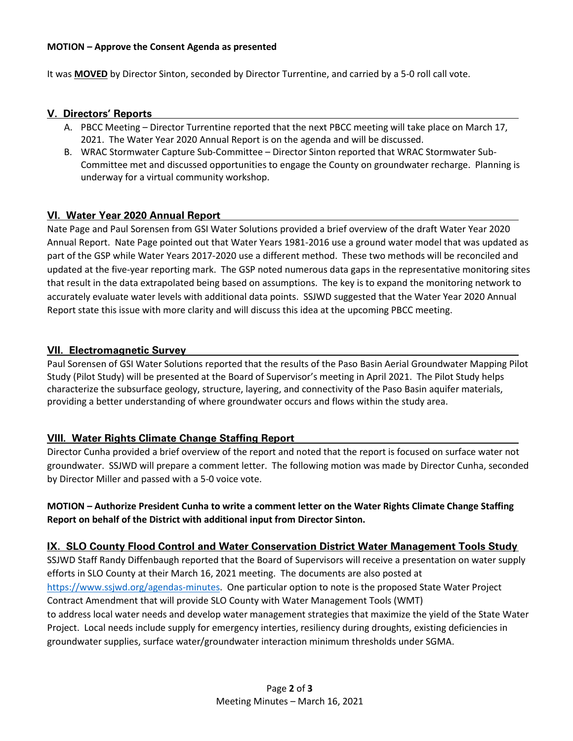#### **MOTION – Approve the Consent Agenda as presented**

It was **MOVED** by Director Sinton, seconded by Director Turrentine, and carried by a 5-0 roll call vote.

#### **V. Directors' Reports**

- A. PBCC Meeting Director Turrentine reported that the next PBCC meeting will take place on March 17, 2021. The Water Year 2020 Annual Report is on the agenda and will be discussed.
- B. WRAC Stormwater Capture Sub-Committee Director Sinton reported that WRAC Stormwater Sub-Committee met and discussed opportunities to engage the County on groundwater recharge. Planning is underway for a virtual community workshop.

#### **VI. Water Year 2020 Annual Report**

Nate Page and Paul Sorensen from GSI Water Solutions provided a brief overview of the draft Water Year 2020 Annual Report. Nate Page pointed out that Water Years 1981-2016 use a ground water model that was updated as part of the GSP while Water Years 2017-2020 use a different method. These two methods will be reconciled and updated at the five-year reporting mark. The GSP noted numerous data gaps in the representative monitoring sites that result in the data extrapolated being based on assumptions. The key is to expand the monitoring network to accurately evaluate water levels with additional data points. SSJWD suggested that the Water Year 2020 Annual Report state this issue with more clarity and will discuss this idea at the upcoming PBCC meeting.

#### **VII. Electromagnetic Survey**

Paul Sorensen of GSI Water Solutions reported that the results of the Paso Basin Aerial Groundwater Mapping Pilot Study (Pilot Study) will be presented at the Board of Supervisor's meeting in April 2021. The Pilot Study helps characterize the subsurface geology, structure, layering, and connectivity of the Paso Basin aquifer materials, providing a better understanding of where groundwater occurs and flows within the study area.

## **VIII. Water Rights Climate Change Staffing Report**

Director Cunha provided a brief overview of the report and noted that the report is focused on surface water not groundwater. SSJWD will prepare a comment letter. The following motion was made by Director Cunha, seconded by Director Miller and passed with a 5-0 voice vote.

## **MOTION – Authorize President Cunha to write a comment letter on the Water Rights Climate Change Staffing Report on behalf of the District with additional input from Director Sinton.**

## **IX. SLO County Flood Control and Water Conservation District Water Management Tools Study**

SSJWD Staff Randy Diffenbaugh reported that the Board of Supervisors will receive a presentation on water supply efforts in SLO County at their March 16, 2021 meeting. The documents are also posted at https://www.ssjwd.org/agendas-minutes. One particular option to note is the proposed State Water Project Contract Amendment that will provide SLO County with Water Management Tools (WMT) to address local water needs and develop water management strategies that maximize the yield of the State Water Project. Local needs include supply for emergency interties, resiliency during droughts, existing deficiencies in groundwater supplies, surface water/groundwater interaction minimum thresholds under SGMA.